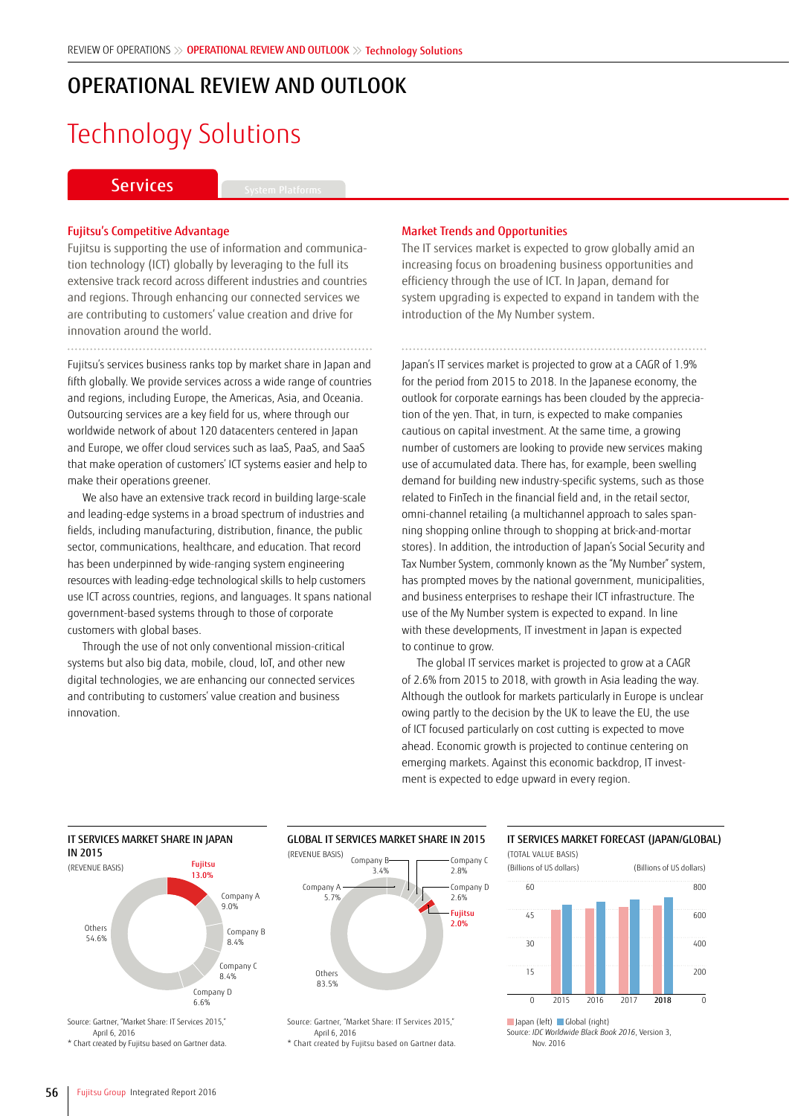### OPERATIONAL REVIEW AND OUTLOOK

# Technology Solutions

### Services **System Platforms**

#### Fujitsu's Competitive Advantage

Fujitsu is supporting the use of information and communication technology (ICT) globally by leveraging to the full its extensive track record across different industries and countries and regions. Through enhancing our connected services we are contributing to customers' value creation and drive for innovation around the world.

Fujitsu's services business ranks top by market share in Japan and fifth globally. We provide services across a wide range of countries and regions, including Europe, the Americas, Asia, and Oceania. Outsourcing services are a key field for us, where through our worldwide network of about 120 datacenters centered in Japan and Europe, we offer cloud services such as IaaS, PaaS, and SaaS that make operation of customers' ICT systems easier and help to make their operations greener.

We also have an extensive track record in building large-scale and leading-edge systems in a broad spectrum of industries and fields, including manufacturing, distribution, finance, the public sector, communications, healthcare, and education. That record has been underpinned by wide-ranging system engineering resources with leading-edge technological skills to help customers use ICT across countries, regions, and languages. It spans national government-based systems through to those of corporate customers with global bases.

Through the use of not only conventional mission-critical systems but also big data, mobile, cloud, IoT, and other new digital technologies, we are enhancing our connected services and contributing to customers' value creation and business innovation.

#### Market Trends and Opportunities

The IT services market is expected to grow globally amid an increasing focus on broadening business opportunities and efficiency through the use of ICT. In Japan, demand for system upgrading is expected to expand in tandem with the introduction of the My Number system.

Japan's IT services market is projected to grow at a CAGR of 1.9% for the period from 2015 to 2018. In the Japanese economy, the outlook for corporate earnings has been clouded by the appreciation of the yen. That, in turn, is expected to make companies cautious on capital investment. At the same time, a growing number of customers are looking to provide new services making use of accumulated data. There has, for example, been swelling demand for building new industry-specific systems, such as those related to FinTech in the financial field and, in the retail sector, omni-channel retailing (a multichannel approach to sales spanning shopping online through to shopping at brick-and-mortar stores). In addition, the introduction of Japan's Social Security and Tax Number System, commonly known as the "My Number" system, has prompted moves by the national government, municipalities, and business enterprises to reshape their ICT infrastructure. The use of the My Number system is expected to expand. In line with these developments, IT investment in Japan is expected to continue to grow.

The global IT services market is projected to grow at a CAGR of 2.6% from 2015 to 2018, with growth in Asia leading the way. Although the outlook for markets particularly in Europe is unclear owing partly to the decision by the UK to leave the EU, the use of ICT focused particularly on cost cutting is expected to move ahead. Economic growth is projected to continue centering on emerging markets. Against this economic backdrop, IT investment is expected to edge upward in every region.



Source: Gartner, "Market Share: IT Services 2015," April 6, 2016 \* Chart created by Fujitsu based on Gartner data.



Source: Gartner, "Market Share: IT Services 2015," April 6, 2016

\* Chart created by Fujitsu based on Gartner data.

#### IT SERVICES MARKET FORECAST (JAPAN/GLOBAL) (TOTAL VALUE BASIS)



Source: *IDC Worldwide Black Book 2016*, Version 3, Nov. 2016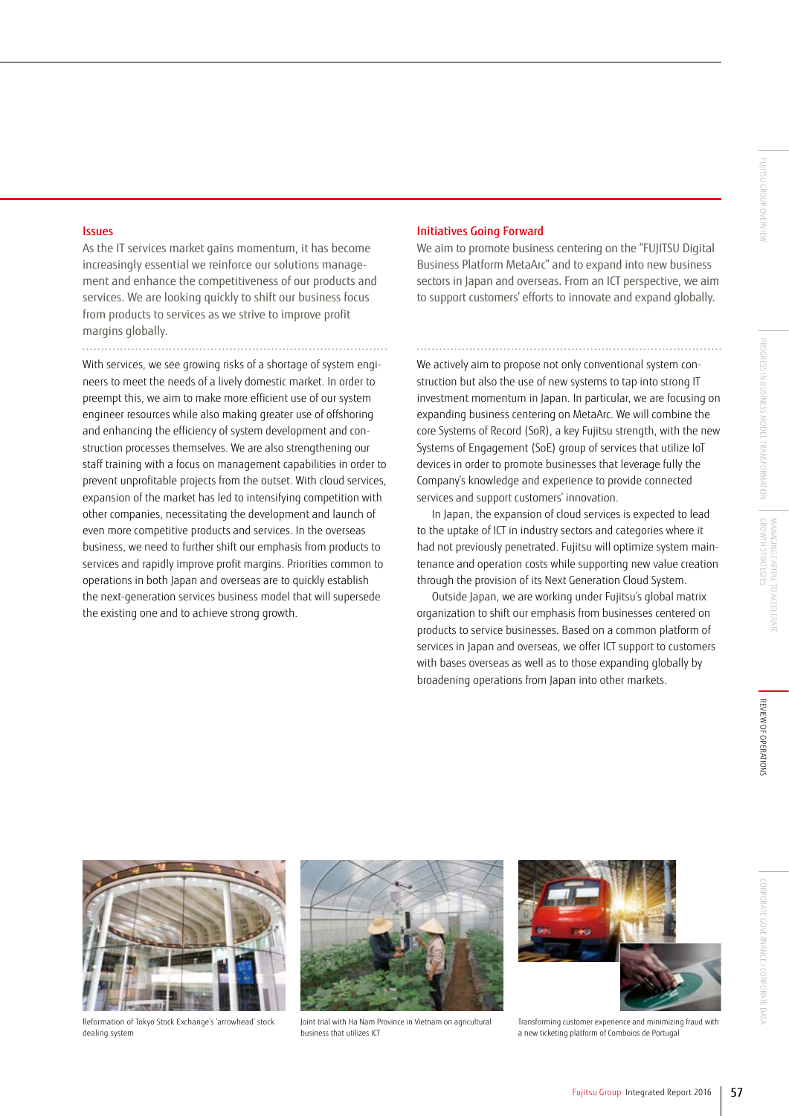#### Issues

As the IT services market gains momentum, it has become increasingly essential we reinforce our solutions management and enhance the competitiveness of our products and services. We are looking quickly to shift our business focus from products to services as we strive to improve profit margins globally.

With services, we see growing risks of a shortage of system engineers to meet the needs of a lively domestic market. In order to preempt this, we aim to make more efficient use of our system engineer resources while also making greater use of offshoring and enhancing the efficiency of system development and construction processes themselves. We are also strengthening our staff training with a focus on management capabilities in order to prevent unprofitable projects from the outset. With cloud services, expansion of the market has led to intensifying competition with other companies, necessitating the development and launch of even more competitive products and services. In the overseas business, we need to further shift our emphasis from products to services and rapidly improve profit margins. Priorities common to operations in both Japan and overseas are to quickly establish the next-generation services business model that will supersede the existing one and to achieve strong growth.

#### Initiatives Going Forward

We aim to promote business centering on the "FUJITSU Digital Business Platform MetaArc" and to expand into new business sectors in Japan and overseas. From an ICT perspective, we aim to support customers' efforts to innovate and expand globally.

We actively aim to propose not only conventional system construction but also the use of new systems to tap into strong IT investment momentum in Japan. In particular, we are focusing on expanding business centering on MetaArc. We will combine the core Systems of Record (SoR), a key Fujitsu strength, with the new Systems of Engagement (SoE) group of services that utilize IoT devices in order to promote businesses that leverage fully the Company's knowledge and experience to provide connected services and support customers' innovation.

In Japan, the expansion of cloud services is expected to lead to the uptake of ICT in industry sectors and categories where it had not previously penetrated. Fujitsu will optimize system maintenance and operation costs while supporting new value creation through the provision of its Next Generation Cloud System.

Outside Japan, we are working under Fujitsu's global matrix organization to shift our emphasis from businesses centered on products to service businesses. Based on a common platform of services in Japan and overseas, we offer ICT support to customers with bases overseas as well as to those expanding globally by broadening operations from Japan into other markets.



Reformation of Tokyo Stock Exchange's 'arrowhead' stock dealing system



Joint trial with Ha Nam Province in Vietnam on agricultural business that utilizes ICT



Transforming customer experience and minimizing fraud with a new ticketing platform of Comboios de Portuga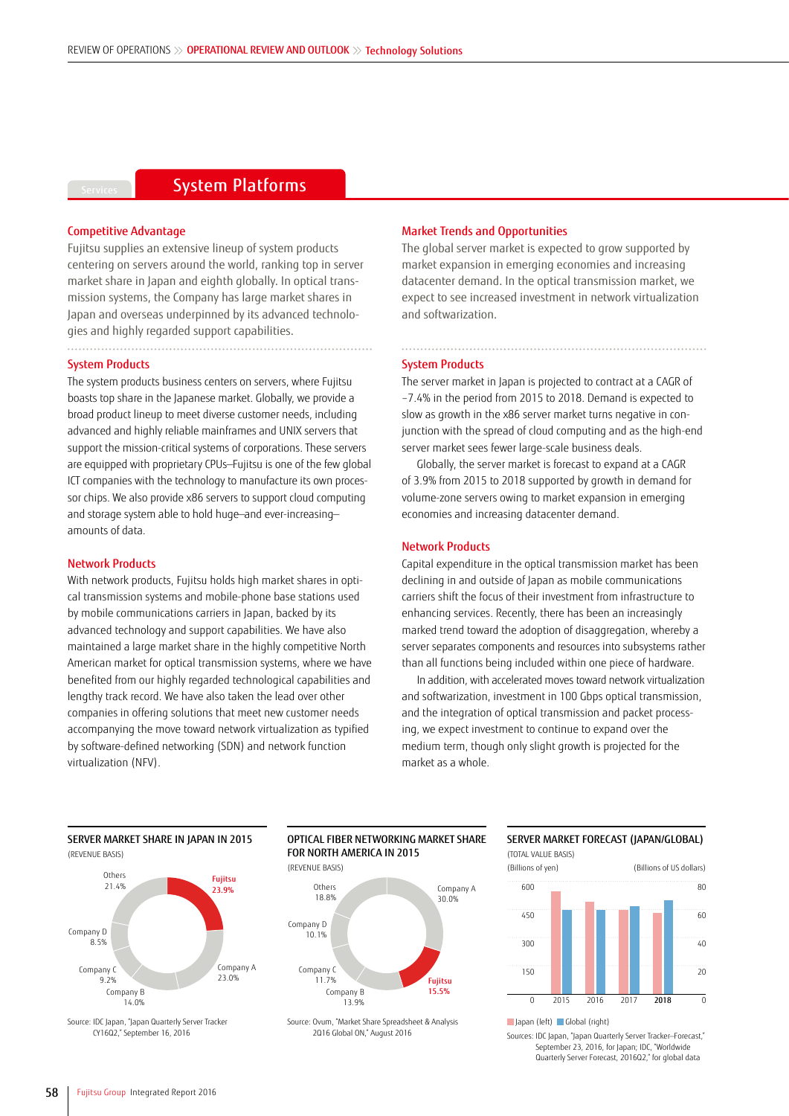### **System Platforms**

#### Competitive Advantage

Fujitsu supplies an extensive lineup of system products centering on servers around the world, ranking top in server market share in Japan and eighth globally. In optical transmission systems, the Company has large market shares in Japan and overseas underpinned by its advanced technologies and highly regarded support capabilities.

#### System Products

The system products business centers on servers, where Fujitsu boasts top share in the Japanese market. Globally, we provide a broad product lineup to meet diverse customer needs, including advanced and highly reliable mainframes and UNIX servers that support the mission-critical systems of corporations. These servers are equipped with proprietary CPUs—Fujitsu is one of the few global ICT companies with the technology to manufacture its own processor chips. We also provide x86 servers to support cloud computing and storage system able to hold huge—and ever-increasing amounts of data.

#### Network Products

With network products, Fujitsu holds high market shares in optical transmission systems and mobile-phone base stations used by mobile communications carriers in Japan, backed by its advanced technology and support capabilities. We have also maintained a large market share in the highly competitive North American market for optical transmission systems, where we have benefited from our highly regarded technological capabilities and lengthy track record. We have also taken the lead over other companies in offering solutions that meet new customer needs accompanying the move toward network virtualization as typified by software-defined networking (SDN) and network function virtualization (NFV).

#### Market Trends and Opportunities

The global server market is expected to grow supported by market expansion in emerging economies and increasing datacenter demand. In the optical transmission market, we expect to see increased investment in network virtualization and softwarization.

#### System Products

The server market in Japan is projected to contract at a CAGR of –7.4% in the period from 2015 to 2018. Demand is expected to slow as growth in the x86 server market turns negative in conjunction with the spread of cloud computing and as the high-end server market sees fewer large-scale business deals.

Globally, the server market is forecast to expand at a CAGR of 3.9% from 2015 to 2018 supported by growth in demand for volume-zone servers owing to market expansion in emerging economies and increasing datacenter demand.

#### Network Products

Capital expenditure in the optical transmission market has been declining in and outside of Japan as mobile communications carriers shift the focus of their investment from infrastructure to enhancing services. Recently, there has been an increasingly marked trend toward the adoption of disaggregation, whereby a server separates components and resources into subsystems rather than all functions being included within one piece of hardware.

In addition, with accelerated moves toward network virtualization and softwarization, investment in 100 Gbps optical transmission, and the integration of optical transmission and packet processing, we expect investment to continue to expand over the medium term, though only slight growth is projected for the market as a whole.

(REVENUE BASIS) Fujitsu 23.9% Others Company D 8.5%

SERVER MARKET SHARE IN JAPAN IN 2015

Company A 23.0% 21.4% Others 18.8% Company C 11.7% Company D 10.1%

Source: IDC Japan, "Japan Quarterly Server Tracker CY16Q2," September 16, 2016



Source: Ovum, "Market Share Spreadsheet & Analysis 2Q16 Global ON," August 2016





Sources: IDC Japan, "Japan Quarterly Server Tracker—Forecast," September 23, 2016, for Japan; IDC, "Worldwide Quarterly Server Forecast, 2016Q2," for global data

Company B 14.0%

Company C 9.2%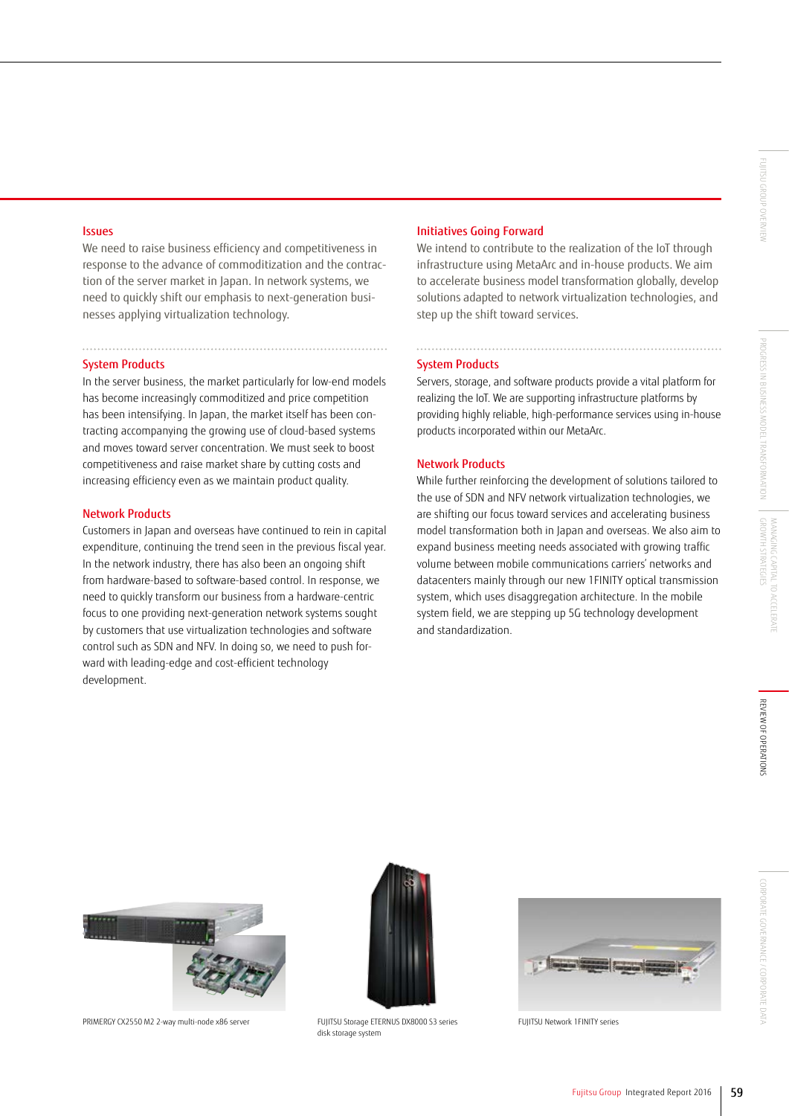#### Issues

We need to raise business efficiency and competitiveness in response to the advance of commoditization and the contraction of the server market in Japan. In network systems, we need to quickly shift our emphasis to next-generation businesses applying virtualization technology.

#### System Products

In the server business, the market particularly for low-end models has become increasingly commoditized and price competition has been intensifying. In Japan, the market itself has been contracting accompanying the growing use of cloud-based systems and moves toward server concentration. We must seek to boost competitiveness and raise market share by cutting costs and increasing efficiency even as we maintain product quality.

#### Network Products

Customers in Japan and overseas have continued to rein in capital expenditure, continuing the trend seen in the previous fiscal year. In the network industry, there has also been an ongoing shift from hardware-based to software-based control. In response, we need to quickly transform our business from a hardware-centric focus to one providing next-generation network systems sought by customers that use virtualization technologies and software control such as SDN and NFV. In doing so, we need to push forward with leading-edge and cost-efficient technology development.

#### Initiatives Going Forward

We intend to contribute to the realization of the IoT through infrastructure using MetaArc and in-house products. We aim to accelerate business model transformation globally, develop solutions adapted to network virtualization technologies, and step up the shift toward services.

#### System Products

Servers, storage, and software products provide a vital platform for realizing the IoT. We are supporting infrastructure platforms by providing highly reliable, high-performance services using in-house products incorporated within our MetaArc.

#### Network Products

While further reinforcing the development of solutions tailored to the use of SDN and NFV network virtualization technologies, we are shifting our focus toward services and accelerating business model transformation both in Japan and overseas. We also aim to expand business meeting needs associated with growing traffic volume between mobile communications carriers' networks and datacenters mainly through our new 1FINITY optical transmission system, which uses disaggregation architecture. In the mobile system field, we are stepping up 5G technology development and standardization.



PRIMERGY CX2550 M2 2-way multi-node x86 server FUJITSU Storage ETERNUS DX8000 S3 series



disk storage system



FUJITSU Network 1FINITY series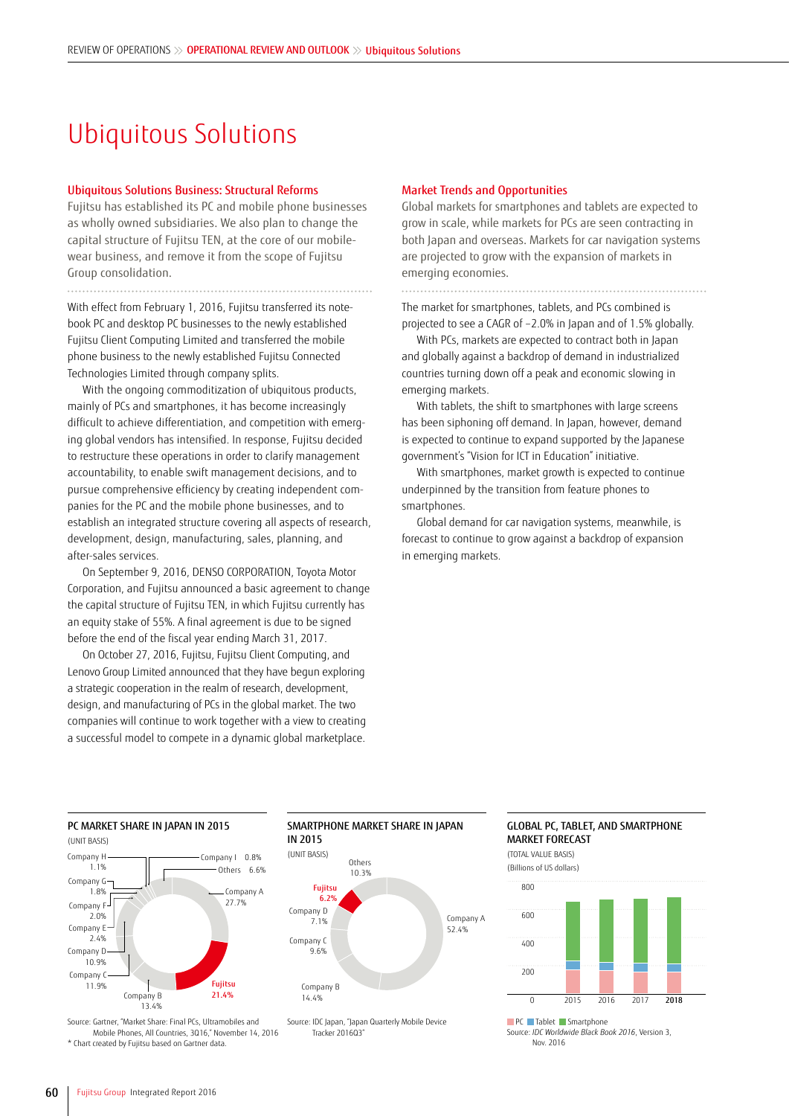## Ubiquitous Solutions

#### Ubiquitous Solutions Business: Structural Reforms

Fujitsu has established its PC and mobile phone businesses as wholly owned subsidiaries. We also plan to change the capital structure of Fujitsu TEN, at the core of our mobilewear business, and remove it from the scope of Fujitsu Group consolidation.

With effect from February 1, 2016, Fujitsu transferred its notebook PC and desktop PC businesses to the newly established Fujitsu Client Computing Limited and transferred the mobile phone business to the newly established Fujitsu Connected Technologies Limited through company splits.

With the ongoing commoditization of ubiquitous products, mainly of PCs and smartphones, it has become increasingly difficult to achieve differentiation, and competition with emerging global vendors has intensified. In response, Fujitsu decided to restructure these operations in order to clarify management accountability, to enable swift management decisions, and to pursue comprehensive efficiency by creating independent companies for the PC and the mobile phone businesses, and to establish an integrated structure covering all aspects of research, development, design, manufacturing, sales, planning, and after-sales services.

On September 9, 2016, DENSO CORPORATION, Toyota Motor Corporation, and Fujitsu announced a basic agreement to change the capital structure of Fujitsu TEN, in which Fujitsu currently has an equity stake of 55%. A final agreement is due to be signed before the end of the fiscal year ending March 31, 2017.

On October 27, 2016, Fujitsu, Fujitsu Client Computing, and Lenovo Group Limited announced that they have begun exploring a strategic cooperation in the realm of research, development, design, and manufacturing of PCs in the global market. The two companies will continue to work together with a view to creating a successful model to compete in a dynamic global marketplace.

#### Market Trends and Opportunities

Global markets for smartphones and tablets are expected to grow in scale, while markets for PCs are seen contracting in both Japan and overseas. Markets for car navigation systems are projected to grow with the expansion of markets in emerging economies.

The market for smartphones, tablets, and PCs combined is projected to see a CAGR of –2.0% in Japan and of 1.5% globally.

With PCs, markets are expected to contract both in Japan and globally against a backdrop of demand in industrialized countries turning down off a peak and economic slowing in emerging markets.

With tablets, the shift to smartphones with large screens has been siphoning off demand. In Japan, however, demand is expected to continue to expand supported by the Japanese government's "Vision for ICT in Education" initiative.

With smartphones, market growth is expected to continue underpinned by the transition from feature phones to smartphones.

Global demand for car navigation systems, meanwhile, is forecast to continue to grow against a backdrop of expansion in emerging markets.

#### PC MARKET SHARE IN JAPAN IN 2015



Source: Gartner, "Market Share: Final PCs, Ultramobiles and Mobile Phones, All Countries, 3Q16," November 14, 2016 \* Chart created by Fujitsu based on Gartner data.





Source: IDC Japan, "Japan Quarterly Mobile Device Tracker 2016Q3"

#### GLOBAL PC, TABLET, AND SMARTPHONE MARKET FORECAST





Source: *IDC Worldwide Black Book 2016*, Version 3, Nov. 2016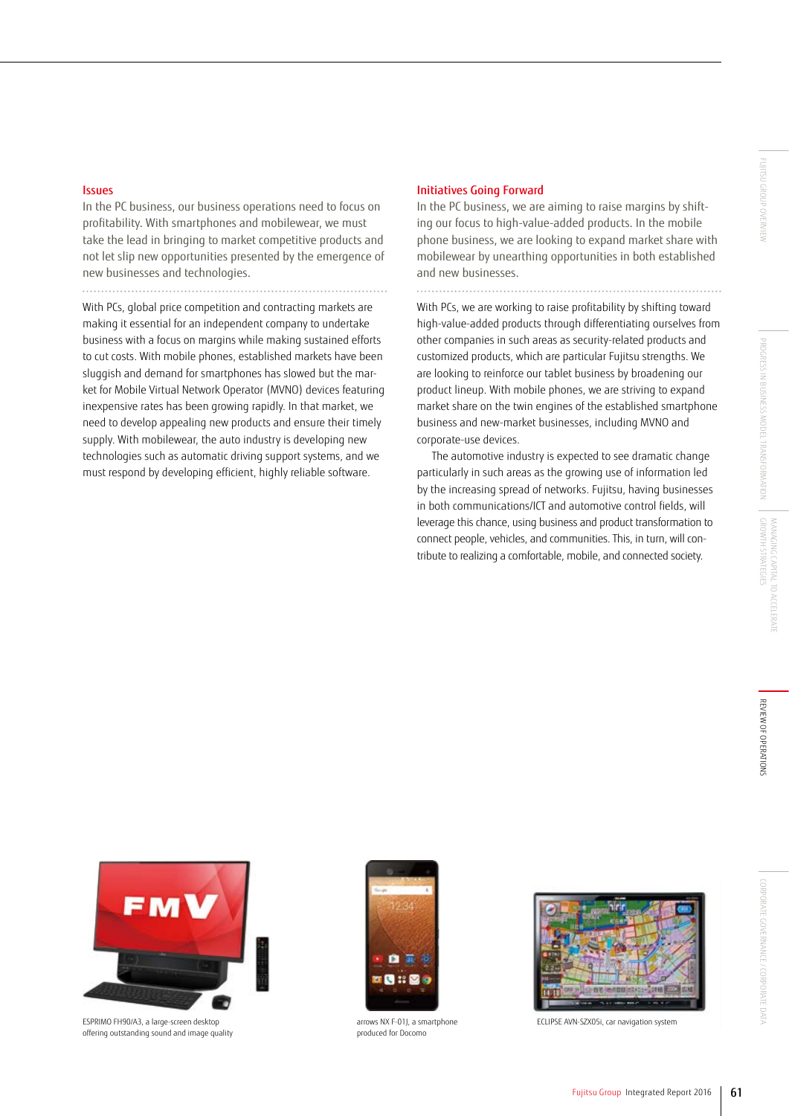#### Issues

In the PC business, our business operations need to focus on profitability. With smartphones and mobilewear, we must take the lead in bringing to market competitive products and not let slip new opportunities presented by the emergence of new businesses and technologies.

With PCs, global price competition and contracting markets are making it essential for an independent company to undertake business with a focus on margins while making sustained efforts to cut costs. With mobile phones, established markets have been sluggish and demand for smartphones has slowed but the market for Mobile Virtual Network Operator (MVNO) devices featuring inexpensive rates has been growing rapidly. In that market, we need to develop appealing new products and ensure their timely supply. With mobilewear, the auto industry is developing new technologies such as automatic driving support systems, and we must respond by developing efficient, highly reliable software.

#### Initiatives Going Forward

In the PC business, we are aiming to raise margins by shifting our focus to high-value-added products. In the mobile phone business, we are looking to expand market share with mobilewear by unearthing opportunities in both established and new businesses.

With PCs, we are working to raise profitability by shifting toward high-value-added products through differentiating ourselves from other companies in such areas as security-related products and customized products, which are particular Fujitsu strengths. We are looking to reinforce our tablet business by broadening our product lineup. With mobile phones, we are striving to expand market share on the twin engines of the established smartphone business and new-market businesses, including MVNO and corporate-use devices.

The automotive industry is expected to see dramatic change particularly in such areas as the growing use of information led by the increasing spread of networks. Fujitsu, having businesses in both communications/ICT and automotive control fields, will leverage this chance, using business and product transformation to connect people, vehicles, and communities. This, in turn, will contribute to realizing a comfortable, mobile, and connected society.



ESPRIMO FH90/A3, a large-screen desktop offering outstanding sound and image quality



arrows NX F-01J, a smartphone produced for Docomo



ECLIPSE AVN-SZX05i, car navigation system